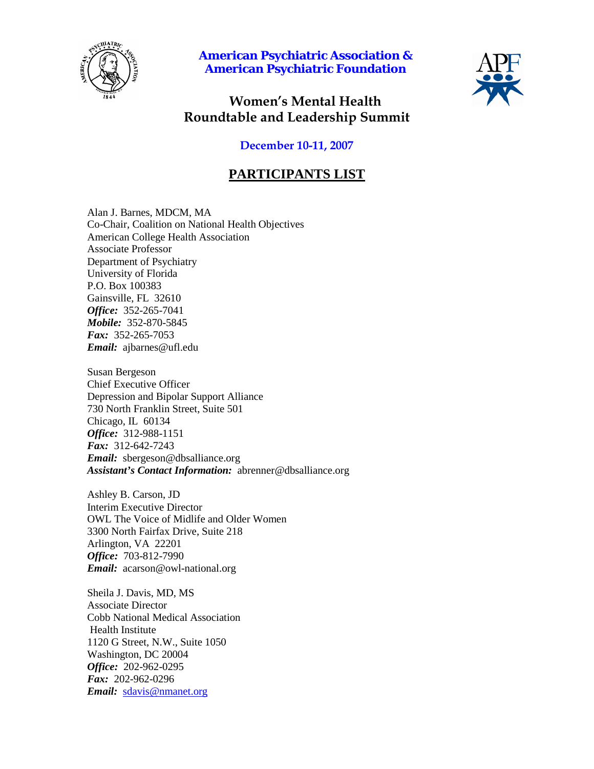

**American Psychiatric Association & American Psychiatric Foundation**



# **Women's Mental Health Roundtable and Leadership Summit**

### **December 10-11, 2007**

## **PARTICIPANTS LIST**

Alan J. Barnes, MDCM, MA Co-Chair, Coalition on National Health Objectives American College Health Association Associate Professor Department of Psychiatry University of Florida P.O. Box 100383 Gainsville, FL 32610 *Office:* 352-265-7041 *Mobile:* 352-870-5845 *Fax:* 352-265-7053 *Email:* ajbarnes@ufl.edu

Susan Bergeson Chief Executive Officer Depression and Bipolar Support Alliance 730 North Franklin Street, Suite 501 Chicago, IL 60134 *Office:* 312-988-1151 *Fax:* 312-642-7243 *Email:* sbergeson@dbsalliance.org *Assistant's Contact Information:* abrenner@dbsalliance.org

Ashley B. Carson, JD Interim Executive Director OWL The Voice of Midlife and Older Women 3300 North Fairfax Drive, Suite 218 Arlington, VA 22201 *Office:* 703-812-7990 *Email:* acarson@owl-national.org

Sheila J. Davis, MD, MS Associate Director Cobb National Medical Association Health Institute 1120 G Street, N.W., Suite 1050 Washington, DC 20004 *Office:* 202-962-0295 *Fax:* 202-962-0296 *Email:* [sdavis@nmanet.org](mailto:sdavis@nmanet.org)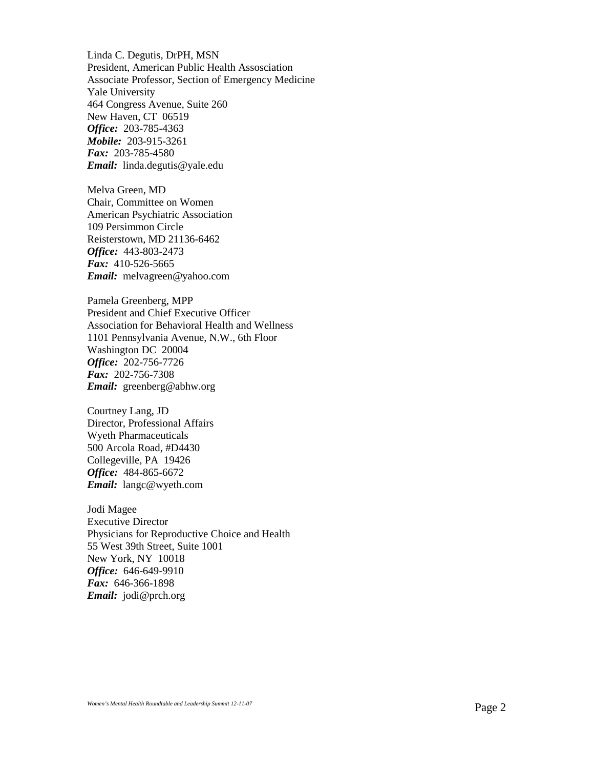Linda C. Degutis, DrPH, MSN President, American Public Health Assosciation Associate Professor, Section of Emergency Medicine Yale University 464 Congress Avenue, Suite 260 New Haven, CT 06519 *Office:* 203-785-4363 *Mobile:* 203-915-3261 *Fax:* 203-785-4580 *Email:* linda.degutis@yale.edu

Melva Green, MD Chair, Committee on Women American Psychiatric Association 109 Persimmon Circle Reisterstown, MD 21136-6462 *Office:* 443-803-2473 *Fax:* 410-526-5665 *Email:* melvagreen@yahoo.com

Pamela Greenberg, MPP President and Chief Executive Officer Association for Behavioral Health and Wellness 1101 Pennsylvania Avenue, N.W., 6th Floor Washington DC 20004 *Office:* 202-756-7726 *Fax:* 202-756-7308 *Email:* greenberg@abhw.org

Courtney Lang, JD Director, Professional Affairs Wyeth Pharmaceuticals 500 Arcola Road, #D4430 Collegeville, PA 19426 *Office:* 484-865-6672 *Email:* langc@wyeth.com

Jodi Magee Executive Director Physicians for Reproductive Choice and Health 55 West 39th Street, Suite 1001 New York, NY 10018 *Office:* 646-649-9910 *Fax:* 646-366-1898 *Email:* jodi@prch.org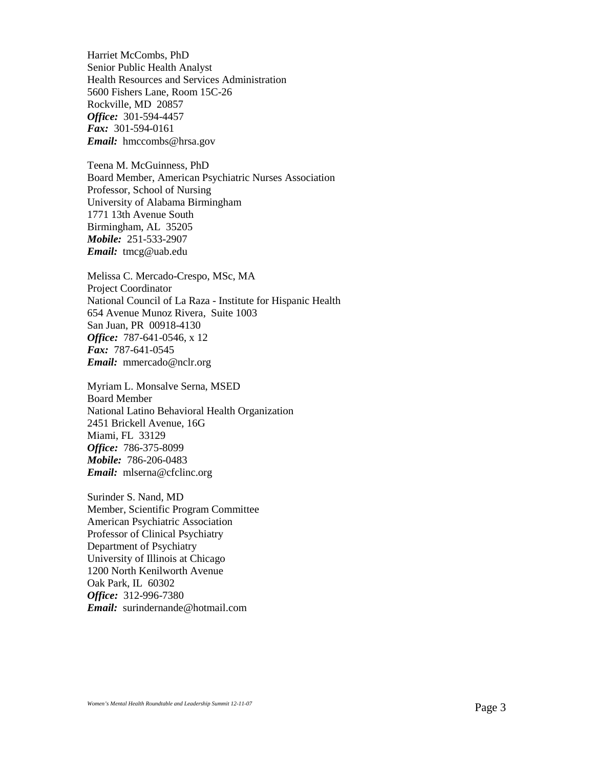Harriet McCombs, PhD Senior Public Health Analyst Health Resources and Services Administration 5600 Fishers Lane, Room 15C-26 Rockville, MD 20857 *Office:* 301-594-4457 *Fax:* 301-594-0161 *Email:* hmccombs@hrsa.gov

Teena M. McGuinness, PhD Board Member, American Psychiatric Nurses Association Professor, School of Nursing University of Alabama Birmingham 1771 13th Avenue South Birmingham, AL 35205 *Mobile:* 251-533-2907 *Email:* tmcg@uab.edu

Melissa C. Mercado-Crespo, MSc, MA Project Coordinator National Council of La Raza - Institute for Hispanic Health 654 Avenue Munoz Rivera, Suite 1003 San Juan, PR 00918-4130 *Office:* 787-641-0546, x 12 *Fax:* 787-641-0545 *Email:* mmercado@nclr.org

Myriam L. Monsalve Serna, MSED Board Member National Latino Behavioral Health Organization 2451 Brickell Avenue, 16G Miami, FL 33129 *Office:* 786-375-8099 *Mobile:* 786-206-0483 *Email:* mlserna@cfclinc.org

Surinder S. Nand, MD Member, Scientific Program Committee American Psychiatric Association Professor of Clinical Psychiatry Department of Psychiatry University of Illinois at Chicago 1200 North Kenilworth Avenue Oak Park, IL 60302 *Office:* 312-996-7380 *Email:* surindernande@hotmail.com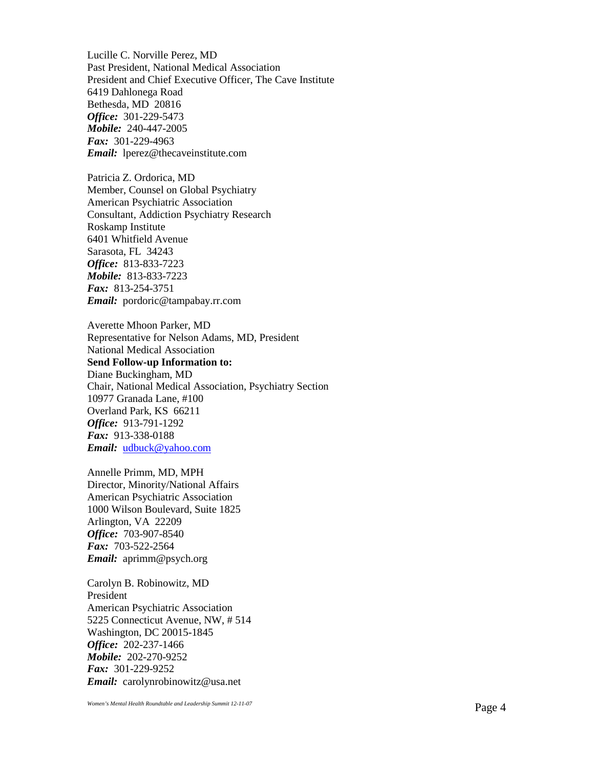Lucille C. Norville Perez, MD Past President, National Medical Association President and Chief Executive Officer, The Cave Institute 6419 Dahlonega Road Bethesda, MD 20816 *Office :* 301 -229 -5473 *Mobile:* 240 -447 -2005 *Fax:* 301 -229 -4963 *Email:* lperez@thecaveinstitute.com

Patricia Z. Ordorica, MD Member, Counsel on Global Psychiatry American Psychiatric Association Consultant, Addiction Psychiatry Research Ros kamp Institute 6401 Whitfield Avenue Sarasota, FL 34243 *Office:* 813 -833 -7223 *Mobile:* 813 -833 -7223 *Fax:* 813 -254 -3751 *Email:* pordoric@tampabay.rr.com

Averette Mhoon Parker, MD Representative for Nelson Adams, MD, President National Medical Association **Send Follow -up Information to:** Diane Buckingham, MD Chair, National Medical Association, Psychiatry Section 10977 Granada Lane, #100 Overland Park, KS 66211 *Office :* 913 -791 -1292 *Fax:* 913 -338 -0188 *Email:* [udbuck@yahoo.com](mailto:udbuck@yahoo.com)

Annelle Primm, MD, MPH Director, Minority/National Affairs American Psychiatric Association 1000 Wilson Boulevard, Suite 1825 Arlington, VA 22209 *Office :* 703 -907 -8540 *Fax:* 703 -522 -2564 *Email:* aprimm@psych.org

Carolyn B. Robinowitz, MD President American Psychiatric Association 5225 Connecticut Avenue, NW, # 514 Washington, DC 20015 -1845 *Office:* 202 -237 -1466 *Mobile:* 202 -270 -9252 *Fax:* 301 -229 -9252 *Email:* carolynrobinowitz@usa.net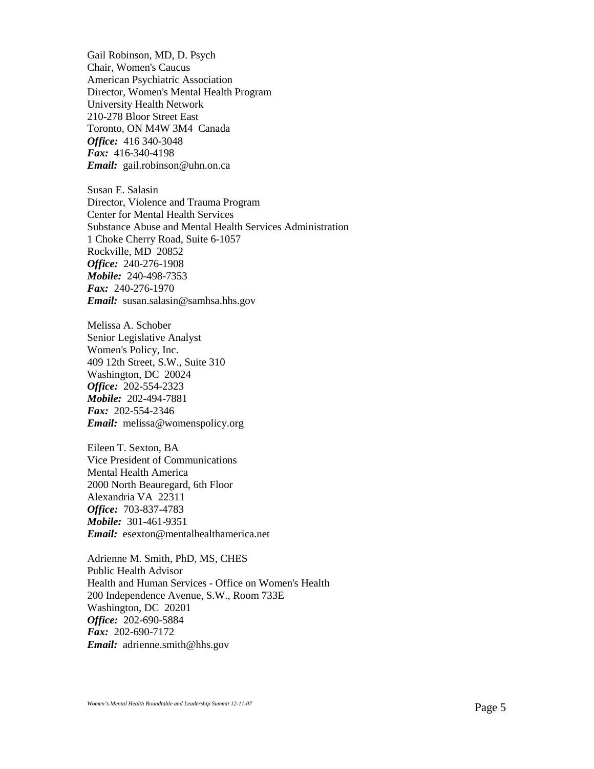Gail Robinson, MD, D. Psych Chair, Women's Caucus American Psychiatric Association Director, Women's Mental Health Program University Health Network 210-278 Bloor Street East Toronto, ON M4W 3M4 Canada *Office:* 416 340-3048 *Fax:* 416-340-4198 *Email:* gail.robinson@uhn.on.ca

Susan E. Salasin Director, Violence and Trauma Program Center for Mental Health Services Substance Abuse and Mental Health Services Administration 1 Choke Cherry Road, Suite 6-1057 Rockville, MD 20852 *Office:* 240-276-1908 *Mobile:* 240-498-7353 *Fax:* 240-276-1970 *Email:* susan.salasin@samhsa.hhs.gov

Melissa A. Schober Senior Legislative Analyst Women's Policy, Inc. 409 12th Street, S.W., Suite 310 Washington, DC 20024 *Office:* 202-554-2323 *Mobile:* 202-494-7881 *Fax:* 202-554-2346 *Email:* melissa@womenspolicy.org

Eileen T. Sexton, BA Vice President of Communications Mental Health America 2000 North Beauregard, 6th Floor Alexandria VA 22311 *Office:* 703-837-4783 *Mobile:* 301-461-9351 *Email:* esexton@mentalhealthamerica.net

Adrienne M. Smith, PhD, MS, CHES Public Health Advisor Health and Human Services - Office on Women's Health 200 Independence Avenue, S.W., Room 733E Washington, DC 20201 *Office:* 202-690-5884 *Fax:* 202-690-7172 *Email:* adrienne.smith@hhs.gov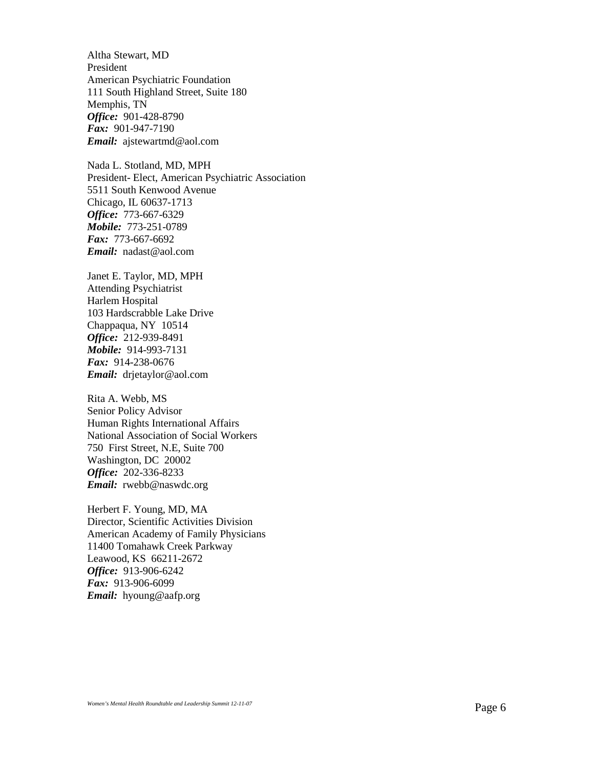Altha Stewart, MD President American Psychiatric Foundation 111 South Highland Street, Suite 180 Memphis, TN *Office:* 901-428-8790 *Fax:* 901-947-7190 *Email:* ajstewartmd@aol.com

Nada L. Stotland, MD, MPH President- Elect, American Psychiatric Association 5511 South Kenwood Avenue Chicago, IL 60637-1713 *Office:* 773-667-6329 *Mobile:* 773-251-0789 *Fax:* 773-667-6692 *Email:* nadast@aol.com

Janet E. Taylor, MD, MPH Attending Psychiatrist Harlem Hospital 103 Hardscrabble Lake Drive Chappaqua, NY 10514 *Office:* 212-939-8491 *Mobile:* 914-993-7131 *Fax:* 914-238-0676 *Email:* drjetaylor@aol.com

Rita A. Webb, MS Senior Policy Advisor Human Rights International Affairs National Association of Social Workers 750 First Street, N.E, Suite 700 Washington, DC 20002 *Office:* 202-336-8233 *Email:* rwebb@naswdc.org

Herbert F. Young, MD, MA Director, Scientific Activities Division American Academy of Family Physicians 11400 Tomahawk Creek Parkway Leawood, KS 66211-2672 *Office:* 913-906-6242 *Fax:* 913-906-6099 *Email:* hyoung@aafp.org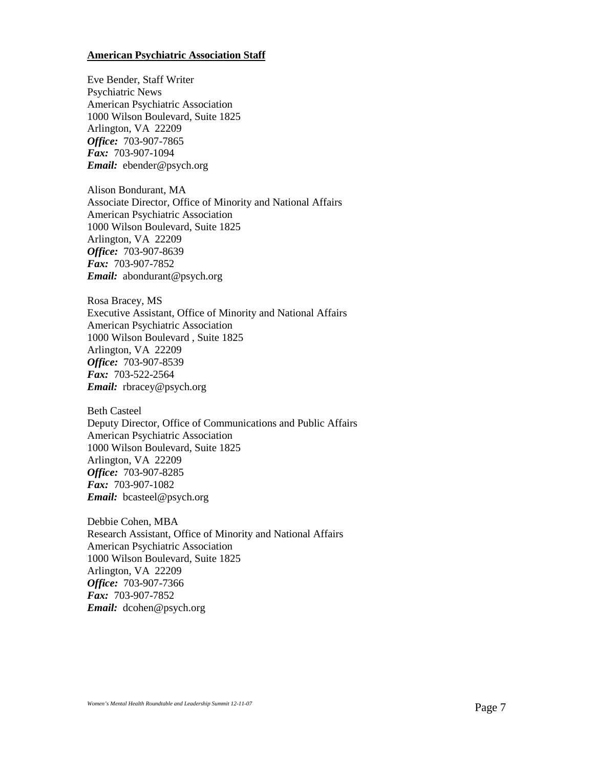### **American Psychiatric Association Staff**

Eve Bender, Staff Writer Psychiatric News American Psychiatric Association 1000 Wilson Boulevard, Suite 1825 Arlington, VA 22209 *Office:* 703-907-7865 *Fax:* 703-907-1094 *Email:* ebender@psych.org

Alison Bondurant, MA Associate Director, Office of Minority and National Affairs American Psychiatric Association 1000 Wilson Boulevard, Suite 1825 Arlington, VA 22209 *Office:* 703-907-8639 *Fax:* 703-907-7852 *Email:* abondurant@psych.org

Rosa Bracey, MS Executive Assistant, Office of Minority and National Affairs American Psychiatric Association 1000 Wilson Boulevard , Suite 1825 Arlington, VA 22209 *Office:* 703-907-8539 *Fax:* 703-522-2564 *Email:* rbracey@psych.org

Beth Casteel Deputy Director, Office of Communications and Public Affairs American Psychiatric Association 1000 Wilson Boulevard, Suite 1825 Arlington, VA 22209 *Office:* 703-907-8285 *Fax:* 703-907-1082 *Email:* bcasteel@psych.org

Debbie Cohen, MBA Research Assistant, Office of Minority and National Affairs American Psychiatric Association 1000 Wilson Boulevard, Suite 1825 Arlington, VA 22209 *Office:* 703-907-7366 *Fax:* 703-907-7852 *Email:* dcohen@psych.org